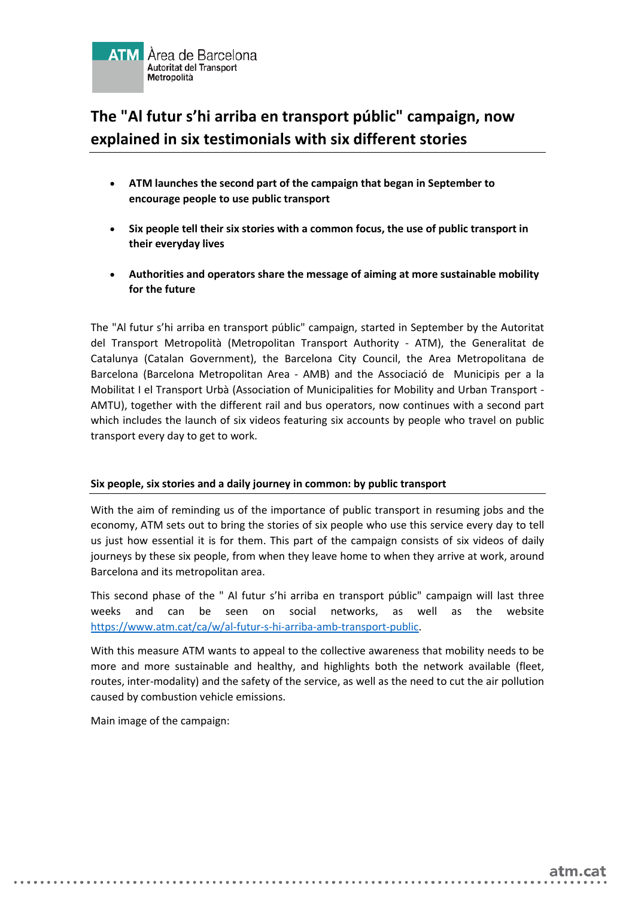

## **The "Al futur s'hi arriba en transport públic" campaign, now explained in six testimonials with six different stories**

- **ATM launches the second part of the campaign that began in September to encourage people to use public transport**
- **Six people tell their six stories with a common focus, the use of public transport in their everyday lives**
- **Authorities and operators share the message of aiming at more sustainable mobility for the future**

The "Al futur s'hi arriba en transport públic" campaign, started in September by the Autoritat del Transport Metropolità (Metropolitan Transport Authority - ATM), the Generalitat de Catalunya (Catalan Government), the Barcelona City Council, the Area Metropolitana de Barcelona (Barcelona Metropolitan Area - AMB) and the Associació de Municipis per a la Mobilitat I el Transport Urbà (Association of Municipalities for Mobility and Urban Transport - AMTU), together with the different rail and bus operators, now continues with a second part which includes the launch of six videos featuring six accounts by people who travel on public transport every day to get to work.

## **Six people, six stories and a daily journey in common: by public transport**

With the aim of reminding us of the importance of public transport in resuming jobs and the economy, ATM sets out to bring the stories of six people who use this service every day to tell us just how essential it is for them. This part of the campaign consists of six videos of daily journeys by these six people, from when they leave home to when they arrive at work, around Barcelona and its metropolitan area.

This second phase of the " Al futur s'hi arriba en transport públic" campaign will last three weeks and can be seen on social networks, as well as the website [https://www.atm.cat/ca/w/al-futur-s-hi-arriba-amb-transport-public.](https://www.atm.cat/ca/w/al-futur-s-hi-arriba-amb-transport-public)

With this measure ATM wants to appeal to the collective awareness that mobility needs to be more and more sustainable and healthy, and highlights both the network available (fleet, routes, inter-modality) and the safety of the service, as well as the need to cut the air pollution caused by combustion vehicle emissions.

. . . . . . .

Main image of the campaign:

. . . . . . . . . . . . . . . . . . . .